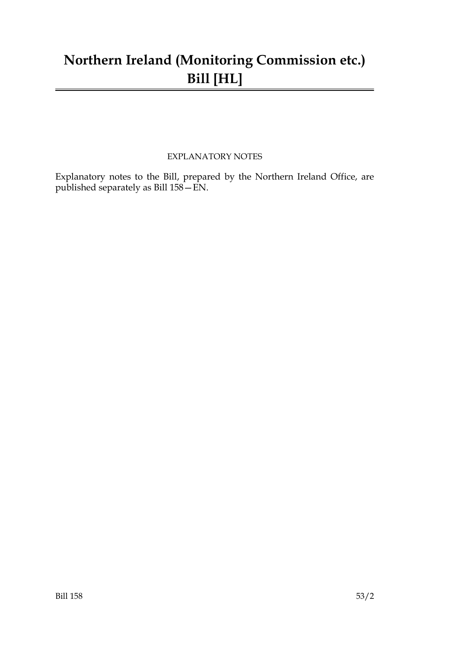## **Northern Ireland (Monitoring Commission etc.) Bill [HL]**

#### EXPLANATORY NOTES

Explanatory notes to the Bill, prepared by the Northern Ireland Office, are published separately as Bill 158—EN.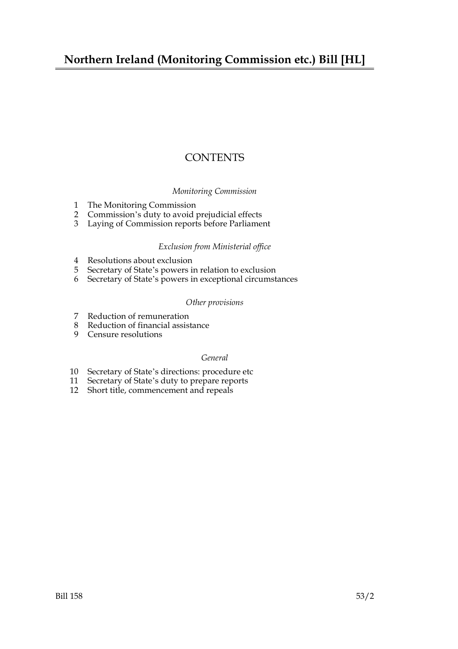## **Northern Ireland (Monitoring Commission etc.) Bill [HL]**

### **CONTENTS**

#### *Monitoring Commission*

- 1 The Monitoring Commission
- 2 Commission's duty to avoid prejudicial effects
- 3 Laying of Commission reports before Parliament

#### *Exclusion from Ministerial office*

- 4 Resolutions about exclusion
- 5 Secretary of State's powers in relation to exclusion
- 6 Secretary of State's powers in exceptional circumstances

#### *Other provisions*

- 7 Reduction of remuneration
- 8 Reduction of financial assistance
- 9 Censure resolutions

#### *General*

- 10 Secretary of State's directions: procedure etc
- 11 Secretary of State's duty to prepare reports
- 12 Short title, commencement and repeals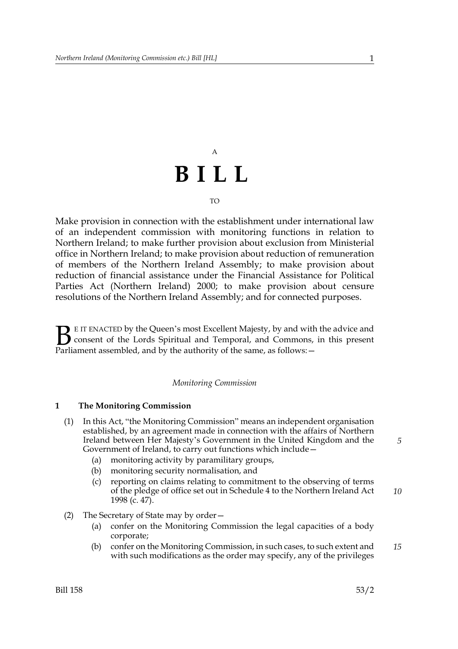# A **BILL**

#### TO

Make provision in connection with the establishment under international law of an independent commission with monitoring functions in relation to Northern Ireland; to make further provision about exclusion from Ministerial office in Northern Ireland; to make provision about reduction of remuneration of members of the Northern Ireland Assembly; to make provision about reduction of financial assistance under the Financial Assistance for Political Parties Act (Northern Ireland) 2000; to make provision about censure resolutions of the Northern Ireland Assembly; and for connected purposes.

E IT ENACTED by the Queen's most Excellent Majesty, by and with the advice and consent of the Lords Spiritual and Temporal, and Commons, in this present Parliament assembled, and by the authority of the same, as follows:  $\mathbf{B}_{\text{rel}}$ 

#### *Monitoring Commission*

#### **1 The Monitoring Commission**

- (1) In this Act, "the Monitoring Commission" means an independent organisation established, by an agreement made in connection with the affairs of Northern Ireland between Her Majesty's Government in the United Kingdom and the Government of Ireland, to carry out functions which include—
	- (a) monitoring activity by paramilitary groups,
	- (b) monitoring security normalisation, and
	- (c) reporting on claims relating to commitment to the observing of terms of the pledge of office set out in Schedule 4 to the Northern Ireland Act 1998 (c. 47). *10*
- (2) The Secretary of State may by order—
	- (a) confer on the Monitoring Commission the legal capacities of a body corporate;
	- (b) confer on the Monitoring Commission, in such cases, to such extent and with such modifications as the order may specify, any of the privileges *15*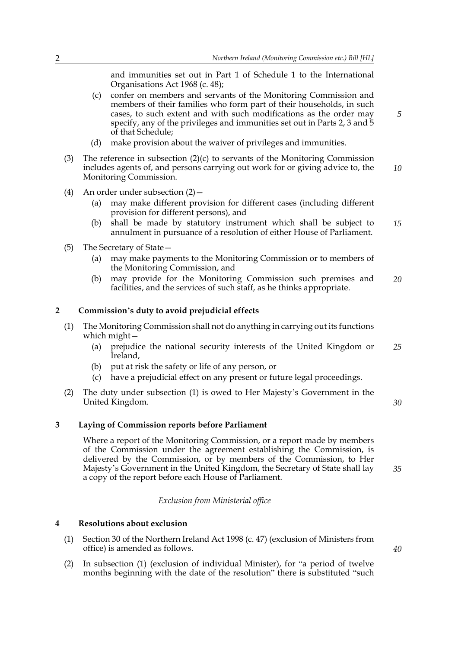and immunities set out in Part 1 of Schedule 1 to the International Organisations Act 1968 (c. 48);

- (c) confer on members and servants of the Monitoring Commission and members of their families who form part of their households, in such cases, to such extent and with such modifications as the order may specify, any of the privileges and immunities set out in Parts 2, 3 and 5 of that Schedule;
- (d) make provision about the waiver of privileges and immunities.
- (3) The reference in subsection  $(2)(c)$  to servants of the Monitoring Commission includes agents of, and persons carrying out work for or giving advice to, the Monitoring Commission. *10*
- (4) An order under subsection (2)—
	- (a) may make different provision for different cases (including different provision for different persons), and
	- (b) shall be made by statutory instrument which shall be subject to annulment in pursuance of a resolution of either House of Parliament. *15*
- (5) The Secretary of State—
	- (a) may make payments to the Monitoring Commission or to members of the Monitoring Commission, and
	- (b) may provide for the Monitoring Commission such premises and facilities, and the services of such staff, as he thinks appropriate. *20*

#### **2 Commission's duty to avoid prejudicial effects**

- (1) The Monitoring Commission shall not do anything in carrying out its functions which might—
	- (a) prejudice the national security interests of the United Kingdom or Ireland, *25*
	- (b) put at risk the safety or life of any person, or
	- (c) have a prejudicial effect on any present or future legal proceedings.
- (2) The duty under subsection (1) is owed to Her Majesty's Government in the United Kingdom.

**3 Laying of Commission reports before Parliament**

Where a report of the Monitoring Commission, or a report made by members of the Commission under the agreement establishing the Commission, is delivered by the Commission, or by members of the Commission, to Her Majesty's Government in the United Kingdom, the Secretary of State shall lay a copy of the report before each House of Parliament.

#### *Exclusion from Ministerial office*

#### **4 Resolutions about exclusion**

- (1) Section 30 of the Northern Ireland Act 1998 (c. 47) (exclusion of Ministers from office) is amended as follows.
- (2) In subsection (1) (exclusion of individual Minister), for "a period of twelve months beginning with the date of the resolution" there is substituted "such

*40*

*30*

*35*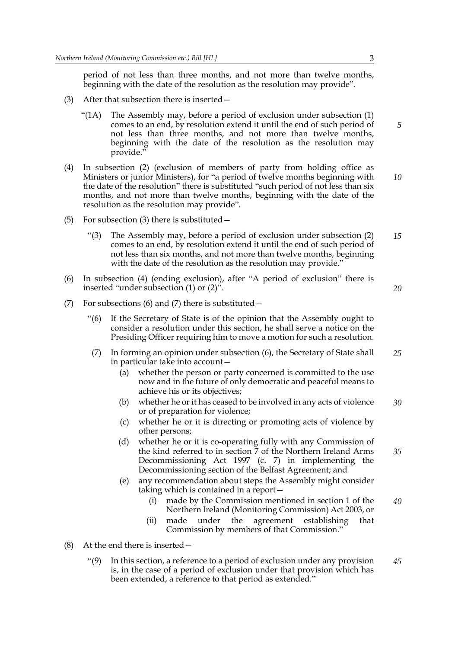period of not less than three months, and not more than twelve months, beginning with the date of the resolution as the resolution may provide".

- (3) After that subsection there is inserted—
	- "( $1A$ ) The Assembly may, before a period of exclusion under subsection  $(1)$ comes to an end, by resolution extend it until the end of such period of not less than three months, and not more than twelve months, beginning with the date of the resolution as the resolution may provide."
- (4) In subsection (2) (exclusion of members of party from holding office as Ministers or junior Ministers), for "a period of twelve months beginning with the date of the resolution" there is substituted "such period of not less than six months, and not more than twelve months, beginning with the date of the resolution as the resolution may provide". *10*
- (5) For subsection (3) there is substituted—
	- "(3) The Assembly may, before a period of exclusion under subsection (2) comes to an end, by resolution extend it until the end of such period of not less than six months, and not more than twelve months, beginning with the date of the resolution as the resolution may provide." *15*
- (6) In subsection (4) (ending exclusion), after "A period of exclusion" there is inserted "under subsection (1) or (2)".
- (7) For subsections (6) and (7) there is substituted—
	- "(6) If the Secretary of State is of the opinion that the Assembly ought to consider a resolution under this section, he shall serve a notice on the Presiding Officer requiring him to move a motion for such a resolution.
	- (7) In forming an opinion under subsection (6), the Secretary of State shall in particular take into account— *25*
		- (a) whether the person or party concerned is committed to the use now and in the future of only democratic and peaceful means to achieve his or its objectives;
		- (b) whether he or it has ceased to be involved in any acts of violence or of preparation for violence; *30*
		- (c) whether he or it is directing or promoting acts of violence by other persons;
		- (d) whether he or it is co-operating fully with any Commission of the kind referred to in section 7 of the Northern Ireland Arms Decommissioning Act 1997 (c. 7) in implementing the Decommissioning section of the Belfast Agreement; and *35*
		- (e) any recommendation about steps the Assembly might consider taking which is contained in a report—
			- (i) made by the Commission mentioned in section 1 of the Northern Ireland (Monitoring Commission) Act 2003, or *40*
			- (ii) made under the agreement establishing that Commission by members of that Commission."
- (8) At the end there is inserted—
	- "(9) In this section, a reference to a period of exclusion under any provision is, in the case of a period of exclusion under that provision which has been extended, a reference to that period as extended." *45*

*5*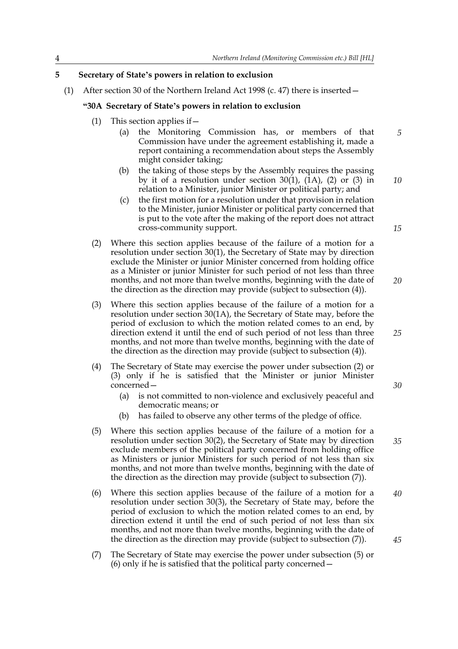#### **5 Secretary of State's powers in relation to exclusion**

(1) After section 30 of the Northern Ireland Act 1998 (c. 47) there is inserted  $-$ 

#### **"30A Secretary of State's powers in relation to exclusion**

- (1) This section applies if—
	- (a) the Monitoring Commission has, or members of that Commission have under the agreement establishing it, made a report containing a recommendation about steps the Assembly might consider taking;
	- (b) the taking of those steps by the Assembly requires the passing by it of a resolution under section  $30(1)$ ,  $(1A)$ ,  $(2)$  or  $(3)$  in relation to a Minister, junior Minister or political party; and
	- (c) the first motion for a resolution under that provision in relation to the Minister, junior Minister or political party concerned that is put to the vote after the making of the report does not attract cross-community support.
- (2) Where this section applies because of the failure of a motion for a resolution under section 30(1), the Secretary of State may by direction exclude the Minister or junior Minister concerned from holding office as a Minister or junior Minister for such period of not less than three months, and not more than twelve months, beginning with the date of the direction as the direction may provide (subject to subsection (4)).
- (3) Where this section applies because of the failure of a motion for a resolution under section 30(1A), the Secretary of State may, before the period of exclusion to which the motion related comes to an end, by direction extend it until the end of such period of not less than three months, and not more than twelve months, beginning with the date of the direction as the direction may provide (subject to subsection (4)).
- (4) The Secretary of State may exercise the power under subsection (2) or (3) only if he is satisfied that the Minister or junior Minister concerned—
	- (a) is not committed to non-violence and exclusively peaceful and democratic means; or
	- (b) has failed to observe any other terms of the pledge of office.
- (5) Where this section applies because of the failure of a motion for a resolution under section 30(2), the Secretary of State may by direction exclude members of the political party concerned from holding office as Ministers or junior Ministers for such period of not less than six months, and not more than twelve months, beginning with the date of the direction as the direction may provide (subject to subsection (7)). *35*
- (6) Where this section applies because of the failure of a motion for a resolution under section 30(3), the Secretary of State may, before the period of exclusion to which the motion related comes to an end, by direction extend it until the end of such period of not less than six months, and not more than twelve months, beginning with the date of the direction as the direction may provide (subject to subsection (7)). *40 45*
- (7) The Secretary of State may exercise the power under subsection (5) or (6) only if he is satisfied that the political party concerned—

*15*

*5*

*10*

*20*

*30*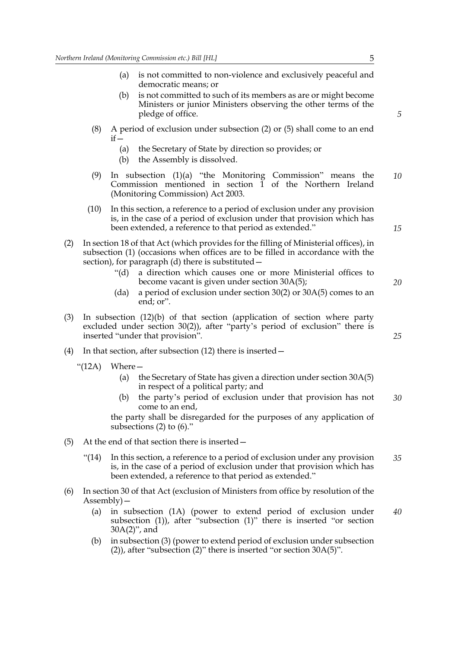- (a) is not committed to non-violence and exclusively peaceful and democratic means; or
- (b) is not committed to such of its members as are or might become Ministers or junior Ministers observing the other terms of the pledge of office.
- (8) A period of exclusion under subsection (2) or (5) shall come to an end  $if -$ 
	- (a) the Secretary of State by direction so provides; or
	- (b) the Assembly is dissolved.
- (9) In subsection (1)(a) "the Monitoring Commission" means the Commission mentioned in section 1 of the Northern Ireland (Monitoring Commission) Act 2003. *10*
- (10) In this section, a reference to a period of exclusion under any provision is, in the case of a period of exclusion under that provision which has been extended, a reference to that period as extended."
- (2) In section 18 of that Act (which provides for the filling of Ministerial offices), in subsection (1) (occasions when offices are to be filled in accordance with the section), for paragraph (d) there is substituted—
	- "(d) a direction which causes one or more Ministerial offices to become vacant is given under section 30A(5);
	- (da) a period of exclusion under section  $30(2)$  or  $30A(5)$  comes to an end; or".
- (3) In subsection (12)(b) of that section (application of section where party excluded under section 30(2)), after "party's period of exclusion" there is inserted "under that provision".
- (4) In that section, after subsection (12) there is inserted—
	- " $(12A)$  Where -
		- (a) the Secretary of State has given a direction under section 30A(5) in respect of a political party; and
		- (b) the party's period of exclusion under that provision has not come to an end, *30*

the party shall be disregarded for the purposes of any application of subsections (2) to (6)."

- (5) At the end of that section there is inserted—
	- "(14) In this section, a reference to a period of exclusion under any provision is, in the case of a period of exclusion under that provision which has been extended, a reference to that period as extended." *35*
- (6) In section 30 of that Act (exclusion of Ministers from office by resolution of the Assembly)—
	- (a) in subsection (1A) (power to extend period of exclusion under subsection (1)), after "subsection (1)" there is inserted "or section 30A(2)", and *40*
	- (b) in subsection (3) (power to extend period of exclusion under subsection (2)), after "subsection (2)" there is inserted "or section 30A(5)".

*5*

*15*

*20*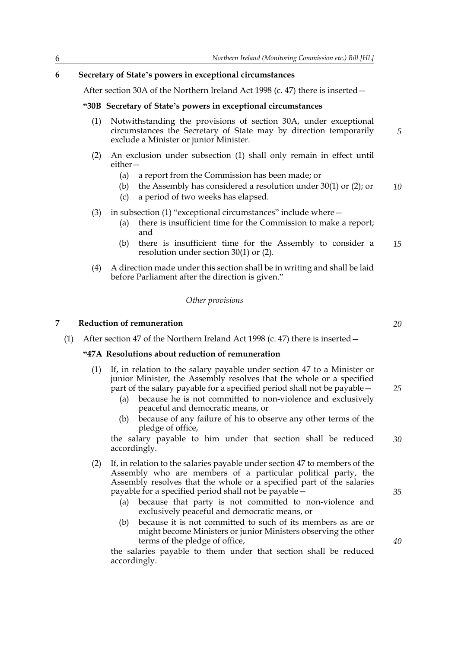#### **6 Secretary of State's powers in exceptional circumstances**

After section 30A of the Northern Ireland Act 1998 (c. 47) there is inserted—

#### **"30B Secretary of State's powers in exceptional circumstances**

- (1) Notwithstanding the provisions of section 30A, under exceptional circumstances the Secretary of State may by direction temporarily exclude a Minister or junior Minister.
- (2) An exclusion under subsection (1) shall only remain in effect until either—
	- (a) a report from the Commission has been made; or
	- (b) the Assembly has considered a resolution under 30(1) or (2); or *10*
	- (c) a period of two weeks has elapsed.
- (3) in subsection (1) "exceptional circumstances" include where—
	- (a) there is insufficient time for the Commission to make a report; and
	- (b) there is insufficient time for the Assembly to consider a resolution under section 30(1) or (2). *15*
- (4) A direction made under this section shall be in writing and shall be laid before Parliament after the direction is given."

#### *Other provisions*

#### **7 Reduction of remuneration**

(1) After section 47 of the Northern Ireland Act 1998 (c. 47) there is inserted—

#### **"47A Resolutions about reduction of remuneration**

- (1) If, in relation to the salary payable under section 47 to a Minister or junior Minister, the Assembly resolves that the whole or a specified part of the salary payable for a specified period shall not be payable—
	- (a) because he is not committed to non-violence and exclusively peaceful and democratic means, or
	- (b) because of any failure of his to observe any other terms of the pledge of office,

the salary payable to him under that section shall be reduced accordingly. *30*

- (2) If, in relation to the salaries payable under section 47 to members of the Assembly who are members of a particular political party, the Assembly resolves that the whole or a specified part of the salaries payable for a specified period shall not be payable—
	- (a) because that party is not committed to non-violence and exclusively peaceful and democratic means, or
	- (b) because it is not committed to such of its members as are or might become Ministers or junior Ministers observing the other terms of the pledge of office,

the salaries payable to them under that section shall be reduced accordingly.

*20*

*25*

*5*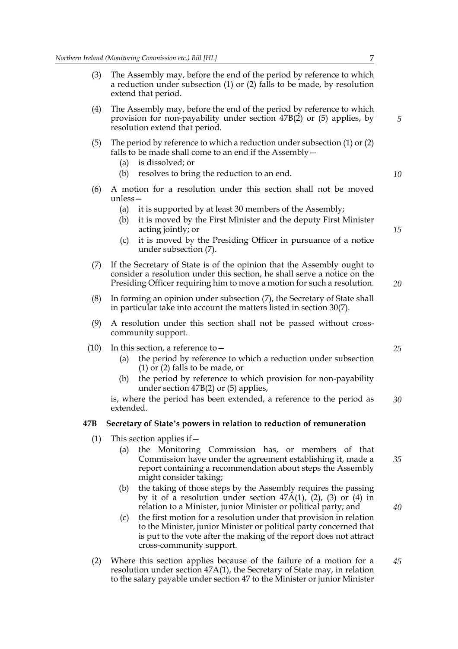- (3) The Assembly may, before the end of the period by reference to which a reduction under subsection (1) or (2) falls to be made, by resolution extend that period.
- (4) The Assembly may, before the end of the period by reference to which provision for non-payability under section 47B(2) or (5) applies, by resolution extend that period.
- (5) The period by reference to which a reduction under subsection (1) or (2) falls to be made shall come to an end if the Assembly—
	- (a) is dissolved; or
	- (b) resolves to bring the reduction to an end.
- (6) A motion for a resolution under this section shall not be moved unless—
	- (a) it is supported by at least 30 members of the Assembly;
	- (b) it is moved by the First Minister and the deputy First Minister acting jointly; or
	- (c) it is moved by the Presiding Officer in pursuance of a notice under subsection (7).
- (7) If the Secretary of State is of the opinion that the Assembly ought to consider a resolution under this section, he shall serve a notice on the Presiding Officer requiring him to move a motion for such a resolution.
- (8) In forming an opinion under subsection (7), the Secretary of State shall in particular take into account the matters listed in section 30(7).
- (9) A resolution under this section shall not be passed without crosscommunity support.
- (10) In this section, a reference to  $-$ 
	- (a) the period by reference to which a reduction under subsection (1) or (2) falls to be made, or
	- (b) the period by reference to which provision for non-payability under section 47B(2) or (5) applies,

is, where the period has been extended, a reference to the period as extended. *30*

#### **47B Secretary of State's powers in relation to reduction of remuneration**

- (1) This section applies if  $-$ 
	- (a) the Monitoring Commission has, or members of that Commission have under the agreement establishing it, made a report containing a recommendation about steps the Assembly might consider taking;
	- (b) the taking of those steps by the Assembly requires the passing by it of a resolution under section  $47A(1)$ ,  $(2)$ ,  $(3)$  or  $(4)$  in relation to a Minister, junior Minister or political party; and
	- (c) the first motion for a resolution under that provision in relation to the Minister, junior Minister or political party concerned that is put to the vote after the making of the report does not attract cross-community support.
- (2) Where this section applies because of the failure of a motion for a resolution under section 47A(1), the Secretary of State may, in relation to the salary payable under section 47 to the Minister or junior Minister *45*

*5*

*10*

*15*

*20*

*25*

*35*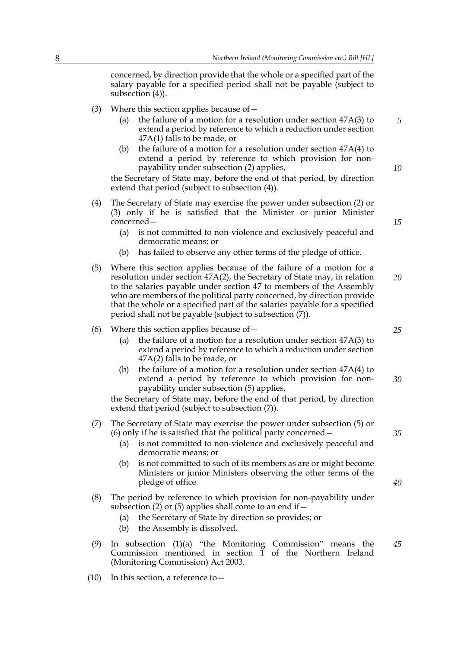concerned, by direction provide that the whole or a specified part of the salary payable for a specified period shall not be payable (subject to subsection (4)).

- (3) Where this section applies because of  $-$ 
	- (a) the failure of a motion for a resolution under section 47A(3) to extend a period by reference to which a reduction under section 47A(1) falls to be made, or
	- (b) the failure of a motion for a resolution under section 47A(4) to extend a period by reference to which provision for nonpayability under subsection (2) applies,

the Secretary of State may, before the end of that period, by direction extend that period (subject to subsection (4)).

- (4) The Secretary of State may exercise the power under subsection (2) or (3) only if he is satisfied that the Minister or junior Minister concerned—
	- (a) is not committed to non-violence and exclusively peaceful and democratic means; or
	- (b) has failed to observe any other terms of the pledge of office.
- (5) Where this section applies because of the failure of a motion for a resolution under section 47A(2), the Secretary of State may, in relation to the salaries payable under section 47 to members of the Assembly who are members of the political party concerned, by direction provide that the whole or a specified part of the salaries payable for a specified period shall not be payable (subject to subsection (7)). *20*

#### (6) Where this section applies because of—

- (a) the failure of a motion for a resolution under section 47A(3) to extend a period by reference to which a reduction under section 47A(2) falls to be made, or
- (b) the failure of a motion for a resolution under section 47A(4) to extend a period by reference to which provision for nonpayability under subsection (5) applies, *30*

the Secretary of State may, before the end of that period, by direction extend that period (subject to subsection (7)).

#### (7) The Secretary of State may exercise the power under subsection (5) or (6) only if he is satisfied that the political party concerned—

- (a) is not committed to non-violence and exclusively peaceful and democratic means; or
- (b) is not committed to such of its members as are or might become Ministers or junior Ministers observing the other terms of the pledge of office.
- (8) The period by reference to which provision for non-payability under subsection (2) or (5) applies shall come to an end if  $-$ 
	- (a) the Secretary of State by direction so provides; or
	- (b) the Assembly is dissolved.
- (9) In subsection (1)(a) "the Monitoring Commission" means the Commission mentioned in section 1 of the Northern Ireland (Monitoring Commission) Act 2003. *45*
- (10) In this section, a reference to—

*5*

*10*

*15*

*25*

*35*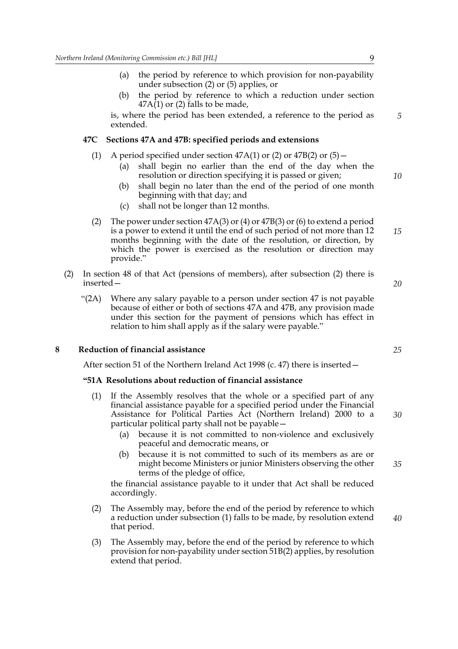- (a) the period by reference to which provision for non-payability under subsection (2) or (5) applies, or
- (b) the period by reference to which a reduction under section  $47A(1)$  or (2) falls to be made,

is, where the period has been extended, a reference to the period as extended.

#### **47C Sections 47A and 47B: specified periods and extensions**

- (1) A period specified under section  $47A(1)$  or (2) or  $47B(2)$  or (5)
	- (a) shall begin no earlier than the end of the day when the resolution or direction specifying it is passed or given;
	- (b) shall begin no later than the end of the period of one month beginning with that day; and
	- (c) shall not be longer than 12 months.
- (2) The power under section 47A(3) or (4) or 47B(3) or (6) to extend a period is a power to extend it until the end of such period of not more than 12 months beginning with the date of the resolution, or direction, by which the power is exercised as the resolution or direction may provide." *15*
- (2) In section 48 of that Act (pensions of members), after subsection (2) there is inserted—
	- "(2A) Where any salary payable to a person under section 47 is not payable because of either or both of sections 47A and 47B, any provision made under this section for the payment of pensions which has effect in relation to him shall apply as if the salary were payable."

#### **8 Reduction of financial assistance**

After section 51 of the Northern Ireland Act 1998 (c. 47) there is inserted—

#### **"51A Resolutions about reduction of financial assistance**

- (1) If the Assembly resolves that the whole or a specified part of any financial assistance payable for a specified period under the Financial Assistance for Political Parties Act (Northern Ireland) 2000 to a particular political party shall not be payable—
	- (a) because it is not committed to non-violence and exclusively peaceful and democratic means, or
	- (b) because it is not committed to such of its members as are or might become Ministers or junior Ministers observing the other terms of the pledge of office,

the financial assistance payable to it under that Act shall be reduced accordingly.

- (2) The Assembly may, before the end of the period by reference to which a reduction under subsection (1) falls to be made, by resolution extend that period.
- (3) The Assembly may, before the end of the period by reference to which provision for non-payability under section 51B(2) applies, by resolution extend that period.

*5*

*10*

*20*

*25*

*30*

*35*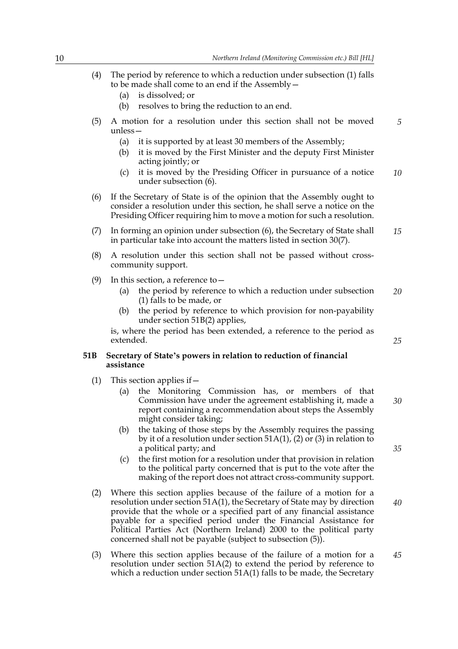- (4) The period by reference to which a reduction under subsection (1) falls to be made shall come to an end if the Assembly—
	- (a) is dissolved; or
	- (b) resolves to bring the reduction to an end.
- (5) A motion for a resolution under this section shall not be moved unless— *5*
	- (a) it is supported by at least 30 members of the Assembly;
	- (b) it is moved by the First Minister and the deputy First Minister acting jointly; or
	- (c) it is moved by the Presiding Officer in pursuance of a notice under subsection (6). *10*
- (6) If the Secretary of State is of the opinion that the Assembly ought to consider a resolution under this section, he shall serve a notice on the Presiding Officer requiring him to move a motion for such a resolution.
- (7) In forming an opinion under subsection (6), the Secretary of State shall in particular take into account the matters listed in section 30(7). *15*
- (8) A resolution under this section shall not be passed without crosscommunity support.
- (9) In this section, a reference to  $-$ 
	- (a) the period by reference to which a reduction under subsection (1) falls to be made, or *20*
	- (b) the period by reference to which provision for non-payability under section 51B(2) applies,

is, where the period has been extended, a reference to the period as extended.

#### **51B Secretary of State's powers in relation to reduction of financial assistance**

- (1) This section applies if  $-$ 
	- (a) the Monitoring Commission has, or members of that Commission have under the agreement establishing it, made a report containing a recommendation about steps the Assembly might consider taking; *30*
	- (b) the taking of those steps by the Assembly requires the passing by it of a resolution under section 51A(1), (2) or (3) in relation to a political party; and
	- (c) the first motion for a resolution under that provision in relation to the political party concerned that is put to the vote after the making of the report does not attract cross-community support.
- (2) Where this section applies because of the failure of a motion for a resolution under section 51A(1), the Secretary of State may by direction provide that the whole or a specified part of any financial assistance payable for a specified period under the Financial Assistance for Political Parties Act (Northern Ireland) 2000 to the political party concerned shall not be payable (subject to subsection (5)). *40*
- (3) Where this section applies because of the failure of a motion for a resolution under section 51A(2) to extend the period by reference to which a reduction under section 51A(1) falls to be made, the Secretary *45*

*25*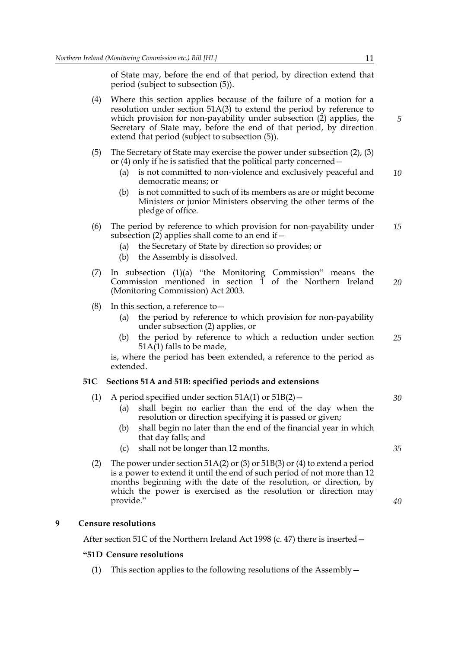of State may, before the end of that period, by direction extend that period (subject to subsection (5)).

- (4) Where this section applies because of the failure of a motion for a resolution under section 51A(3) to extend the period by reference to which provision for non-payability under subsection (2) applies, the Secretary of State may, before the end of that period, by direction extend that period (subject to subsection (5)).
- (5) The Secretary of State may exercise the power under subsection (2), (3) or (4) only if he is satisfied that the political party concerned—
	- (a) is not committed to non-violence and exclusively peaceful and democratic means; or *10*
	- (b) is not committed to such of its members as are or might become Ministers or junior Ministers observing the other terms of the pledge of office.
- (6) The period by reference to which provision for non-payability under subsection (2) applies shall come to an end if  $-$ *15*
	- (a) the Secretary of State by direction so provides; or
	- (b) the Assembly is dissolved.
- (7) In subsection  $(1)(a)$  "the Monitoring Commission" means the Commission mentioned in section 1 of the Northern Ireland (Monitoring Commission) Act 2003. *20*
- (8) In this section, a reference to  $-$ 
	- (a) the period by reference to which provision for non-payability under subsection (2) applies, or
	- (b) the period by reference to which a reduction under section  $51A(1)$  falls to be made, *25*

is, where the period has been extended, a reference to the period as extended.

#### **51C Sections 51A and 51B: specified periods and extensions**

- (1) A period specified under section  $51A(1)$  or  $51B(2)$  -
	- (a) shall begin no earlier than the end of the day when the resolution or direction specifying it is passed or given;
	- (b) shall begin no later than the end of the financial year in which that day falls; and
	- (c) shall not be longer than 12 months.
- (2) The power under section 51A(2) or (3) or 51B(3) or (4) to extend a period is a power to extend it until the end of such period of not more than 12 months beginning with the date of the resolution, or direction, by which the power is exercised as the resolution or direction may provide."

#### **9 Censure resolutions**

After section 51C of the Northern Ireland Act 1998 (c. 47) there is inserted—

#### **"51D Censure resolutions**

(1) This section applies to the following resolutions of the Assembly—

*5*

*35*

*40*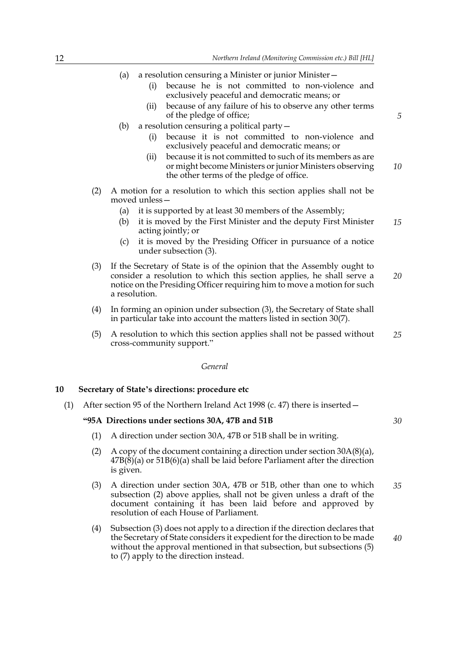- (a) a resolution censuring a Minister or junior Minister—
	- (i) because he is not committed to non-violence and exclusively peaceful and democratic means; or
	- (ii) because of any failure of his to observe any other terms of the pledge of office;
- (b) a resolution censuring a political party—
	- (i) because it is not committed to non-violence and exclusively peaceful and democratic means; or
	- (ii) because it is not committed to such of its members as are or might become Ministers or junior Ministers observing the other terms of the pledge of office. *10*
- (2) A motion for a resolution to which this section applies shall not be moved unless—
	- (a) it is supported by at least 30 members of the Assembly;
	- (b) it is moved by the First Minister and the deputy First Minister acting jointly; or *15*
	- (c) it is moved by the Presiding Officer in pursuance of a notice under subsection (3).
- (3) If the Secretary of State is of the opinion that the Assembly ought to consider a resolution to which this section applies, he shall serve a notice on the Presiding Officer requiring him to move a motion for such a resolution. *20*
- (4) In forming an opinion under subsection (3), the Secretary of State shall in particular take into account the matters listed in section 30(7).
- (5) A resolution to which this section applies shall not be passed without cross-community support." *25*

#### *General*

#### **10 Secretary of State's directions: procedure etc**

(1) After section 95 of the Northern Ireland Act 1998 (c. 47) there is inserted—

#### **"95A Directions under sections 30A, 47B and 51B**

- (1) A direction under section 30A, 47B or 51B shall be in writing.
- (2) A copy of the document containing a direction under section  $30A(8)(a)$ , 47B(8)(a) or 51B(6)(a) shall be laid before Parliament after the direction is given.
- (3) A direction under section 30A, 47B or 51B, other than one to which subsection (2) above applies, shall not be given unless a draft of the document containing it has been laid before and approved by resolution of each House of Parliament. *35*
- (4) Subsection (3) does not apply to a direction if the direction declares that the Secretary of State considers it expedient for the direction to be made without the approval mentioned in that subsection, but subsections (5) to (7) apply to the direction instead.

*5*

*30*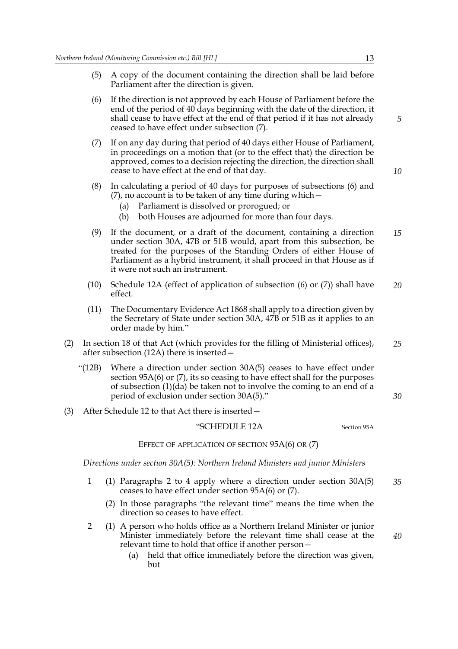- (5) A copy of the document containing the direction shall be laid before Parliament after the direction is given.
- (6) If the direction is not approved by each House of Parliament before the end of the period of 40 days beginning with the date of the direction, it shall cease to have effect at the end of that period if it has not already ceased to have effect under subsection (7).
- (7) If on any day during that period of 40 days either House of Parliament, in proceedings on a motion that (or to the effect that) the direction be approved, comes to a decision rejecting the direction, the direction shall cease to have effect at the end of that day.
- (8) In calculating a period of 40 days for purposes of subsections (6) and (7), no account is to be taken of any time during which—
	- (a) Parliament is dissolved or prorogued; or
	- (b) both Houses are adjourned for more than four days.
- (9) If the document, or a draft of the document, containing a direction under section 30A, 47B or 51B would, apart from this subsection, be treated for the purposes of the Standing Orders of either House of Parliament as a hybrid instrument, it shall proceed in that House as if it were not such an instrument. *15*
- (10) Schedule 12A (effect of application of subsection (6) or (7)) shall have effect. *20*
- (11) The Documentary Evidence Act 1868 shall apply to a direction given by the Secretary of State under section 30A, 47B or 51B as it applies to an order made by him."
- (2) In section 18 of that Act (which provides for the filling of Ministerial offices), after subsection (12A) there is inserted— *25*
	- "(12B) Where a direction under section 30A(5) ceases to have effect under section 95A(6) or (7), its so ceasing to have effect shall for the purposes of subsection (1)(da) be taken not to involve the coming to an end of a period of exclusion under section 30A(5)."
- (3) After Schedule 12 to that Act there is inserted—

#### "SCHEDULE 12A Section 95A

EFFECT OF APPLICATION OF SECTION 95A(6) OR (7)

*Directions under section 30A(5): Northern Ireland Ministers and junior Ministers*

- 1 (1) Paragraphs 2 to 4 apply where a direction under section 30A(5) ceases to have effect under section 95A(6) or (7). *35*
	- (2) In those paragraphs "the relevant time" means the time when the direction so ceases to have effect.
- 2 (1) A person who holds office as a Northern Ireland Minister or junior Minister immediately before the relevant time shall cease at the relevant time to hold that office if another person—
	- (a) held that office immediately before the direction was given, but

*5*

*10*

```
40
```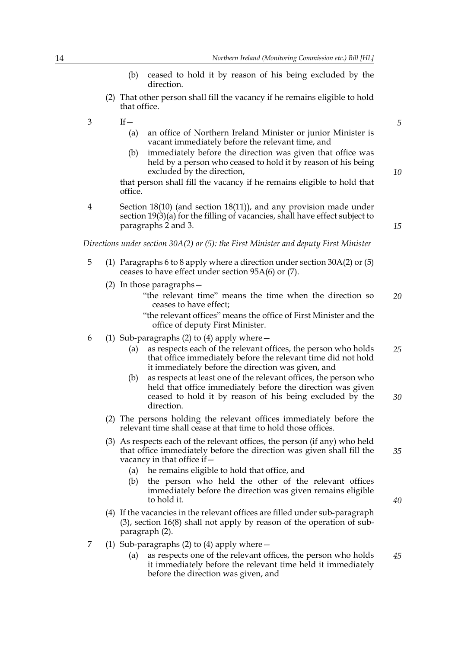- (b) ceased to hold it by reason of his being excluded by the direction.
- (2) That other person shall fill the vacancy if he remains eligible to hold that office.
- $3 \qquad \qquad \text{If} \qquad$ 
	- (a) an office of Northern Ireland Minister or junior Minister is vacant immediately before the relevant time, and
	- (b) immediately before the direction was given that office was held by a person who ceased to hold it by reason of his being excluded by the direction,

that person shall fill the vacancy if he remains eligible to hold that office.

4 Section 18(10) (and section 18(11)), and any provision made under section 19(3)(a) for the filling of vacancies, shall have effect subject to paragraphs 2 and 3.

*Directions under section 30A(2) or (5): the First Minister and deputy First Minister*

- 5 (1) Paragraphs 6 to 8 apply where a direction under section 30A(2) or (5) ceases to have effect under section 95A(6) or (7).
	- (2) In those paragraphs—
		- "the relevant time" means the time when the direction so ceases to have effect; *20*
		- "the relevant offices" means the office of First Minister and the office of deputy First Minister.
- 6 (1) Sub-paragraphs (2) to (4) apply where—
	- (a) as respects each of the relevant offices, the person who holds that office immediately before the relevant time did not hold it immediately before the direction was given, and *25*
	- (b) as respects at least one of the relevant offices, the person who held that office immediately before the direction was given ceased to hold it by reason of his being excluded by the direction. *30*
	- (2) The persons holding the relevant offices immediately before the relevant time shall cease at that time to hold those offices.
	- (3) As respects each of the relevant offices, the person (if any) who held that office immediately before the direction was given shall fill the vacancy in that office if—
		- (a) he remains eligible to hold that office, and
		- (b) the person who held the other of the relevant offices immediately before the direction was given remains eligible to hold it.
	- (4) If the vacancies in the relevant offices are filled under sub-paragraph (3), section 16(8) shall not apply by reason of the operation of subparagraph (2).
- 7 (1) Sub-paragraphs (2) to (4) apply where—
	- (a) as respects one of the relevant offices, the person who holds it immediately before the relevant time held it immediately before the direction was given, and *45*

*10*

*5*

*15*

*35*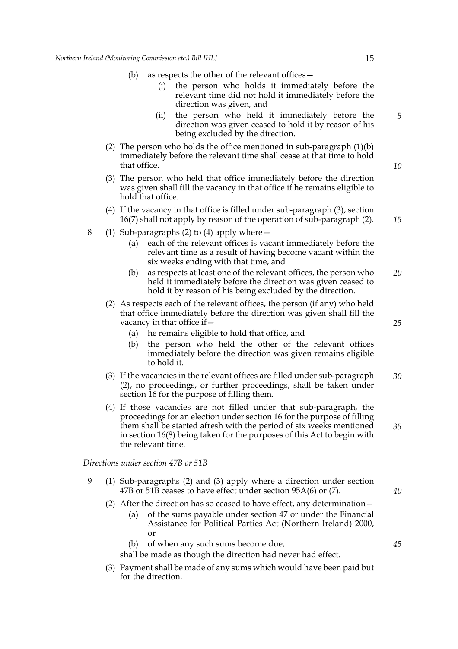- (b) as respects the other of the relevant offices—
	- (i) the person who holds it immediately before the relevant time did not hold it immediately before the direction was given, and
	- (ii) the person who held it immediately before the direction was given ceased to hold it by reason of his being excluded by the direction.
- (2) The person who holds the office mentioned in sub-paragraph (1)(b) immediately before the relevant time shall cease at that time to hold that office.
- (3) The person who held that office immediately before the direction was given shall fill the vacancy in that office if he remains eligible to hold that office.
- (4) If the vacancy in that office is filled under sub-paragraph (3), section 16(7) shall not apply by reason of the operation of sub-paragraph (2).
- 8 (1) Sub-paragraphs (2) to (4) apply where—
	- (a) each of the relevant offices is vacant immediately before the relevant time as a result of having become vacant within the six weeks ending with that time, and
	- (b) as respects at least one of the relevant offices, the person who held it immediately before the direction was given ceased to hold it by reason of his being excluded by the direction. *20*
	- (2) As respects each of the relevant offices, the person (if any) who held that office immediately before the direction was given shall fill the vacancy in that office if—
		- (a) he remains eligible to hold that office, and
		- (b) the person who held the other of the relevant offices immediately before the direction was given remains eligible to hold it.
	- (3) If the vacancies in the relevant offices are filled under sub-paragraph (2), no proceedings, or further proceedings, shall be taken under section 16 for the purpose of filling them. *30*
	- (4) If those vacancies are not filled under that sub-paragraph, the proceedings for an election under section 16 for the purpose of filling them shall be started afresh with the period of six weeks mentioned in section 16(8) being taken for the purposes of this Act to begin with the relevant time.

*Directions under section 47B or 51B*

- 9 (1) Sub-paragraphs (2) and (3) apply where a direction under section 47B or 51B ceases to have effect under section 95A(6) or (7).
	- (2) After the direction has so ceased to have effect, any determination—
		- (a) of the sums payable under section 47 or under the Financial Assistance for Political Parties Act (Northern Ireland) 2000, or
		- (b) of when any such sums become due,

shall be made as though the direction had never had effect.

(3) Payment shall be made of any sums which would have been paid but for the direction.

*5*

*10*

*15*

*25*

*40*

*45*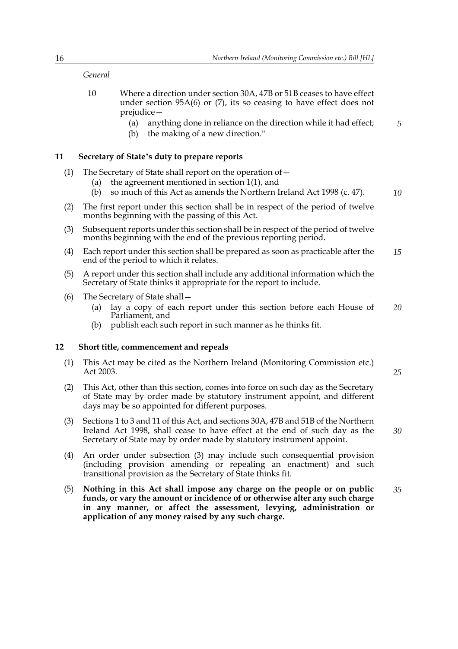#### *General*

- 10 Where a direction under section 30A, 47B or 51B ceases to have effect under section 95A(6) or (7), its so ceasing to have effect does not prejudice—
	- (a) anything done in reliance on the direction while it had effect;
	- (b) the making of a new direction."

#### **11 Secretary of State's duty to prepare reports**

- (1) The Secretary of State shall report on the operation of  $-$ 
	- (a) the agreement mentioned in section 1(1), and
	- (b) so much of this Act as amends the Northern Ireland Act 1998 (c. 47).
- (2) The first report under this section shall be in respect of the period of twelve months beginning with the passing of this Act.
- (3) Subsequent reports under this section shall be in respect of the period of twelve months beginning with the end of the previous reporting period.
- (4) Each report under this section shall be prepared as soon as practicable after the end of the period to which it relates. *15*
- (5) A report under this section shall include any additional information which the Secretary of State thinks it appropriate for the report to include.
- (6) The Secretary of State shall—
	- (a) lay a copy of each report under this section before each House of Parliament, and *20*
	- (b) publish each such report in such manner as he thinks fit.

#### **12 Short title, commencement and repeals**

- (1) This Act may be cited as the Northern Ireland (Monitoring Commission etc.) Act 2003.
- (2) This Act, other than this section, comes into force on such day as the Secretary of State may by order made by statutory instrument appoint, and different days may be so appointed for different purposes.
- (3) Sections 1 to 3 and 11 of this Act, and sections 30A, 47B and 51B of the Northern Ireland Act 1998, shall cease to have effect at the end of such day as the Secretary of State may by order made by statutory instrument appoint.
- (4) An order under subsection (3) may include such consequential provision (including provision amending or repealing an enactment) and such transitional provision as the Secretary of State thinks fit.
- (5) **Nothing in this Act shall impose any charge on the people or on public funds, or vary the amount or incidence of or otherwise alter any such charge in any manner, or affect the assessment, levying, administration or application of any money raised by any such charge.** *35*

*10*

*5*

*25*